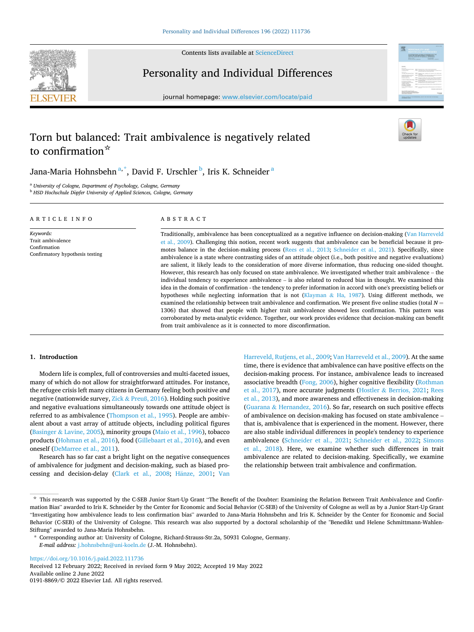

Contents lists available at [ScienceDirect](www.sciencedirect.com/science/journal/01918869)

Personality and Individual Differences

journal homepage: [www.elsevier.com/locate/paid](https://www.elsevier.com/locate/paid)



# Torn but balanced: Trait ambivalence is negatively related to confirmation☆



Jana-Maria Hohnsbehn $^{\mathrm{a},\mathrm{*}}$ , David F. Urschler $^{\mathrm{b}}$ , Iris K. Schneider $^{\mathrm{a}}$ 

<sup>a</sup> *University of Cologne, Department of Psychology, Cologne, Germany* 

<sup>b</sup> HSD Hochschule Döpfer University of Applied Sciences, Cologne, Germany

| ARTICLE INFO                                                                      | ABSTRACT                                                                                                                                                                                                                                                                                                                                                                                                                                                                                                                                                                                                                                                                                                                                                                                                                                                                                                                                                                                                                                                                                                                                                                      |  |  |  |
|-----------------------------------------------------------------------------------|-------------------------------------------------------------------------------------------------------------------------------------------------------------------------------------------------------------------------------------------------------------------------------------------------------------------------------------------------------------------------------------------------------------------------------------------------------------------------------------------------------------------------------------------------------------------------------------------------------------------------------------------------------------------------------------------------------------------------------------------------------------------------------------------------------------------------------------------------------------------------------------------------------------------------------------------------------------------------------------------------------------------------------------------------------------------------------------------------------------------------------------------------------------------------------|--|--|--|
| Keywords:<br>Trait ambivalence<br>Confirmation<br>Confirmatory hypothesis testing | Traditionally, ambivalence has been conceptualized as a negative influence on decision-making (Van Harreveld<br>et al., 2009). Challenging this notion, recent work suggests that ambivalence can be beneficial because it pro-<br>motes balance in the decision-making process (Rees et al., 2013; Schneider et al., 2021). Specifically, since<br>ambivalence is a state where contrasting sides of an attitude object (i.e., both positive and negative evaluations)<br>are salient, it likely leads to the consideration of more diverse information, thus reducing one-sided thought.<br>However, this research has only focused on state ambivalence. We investigated whether trait ambivalence – the<br>individual tendency to experience ambivalence – is also related to reduced bias in thought. We examined this<br>idea in the domain of confirmation - the tendency to prefer information in accord with one's preexisting beliefs or<br>hypotheses while neglecting information that is not (Klayman & Ha, 1987). Using different methods, we<br>त के पाली के पाली है। इस पाली के पाली के पाली के लिए आप की पाली है। इस पाली के बाद की पाली है। इस पाली की अधिक |  |  |  |

examined the relationship between trait ambivalence and confirmation. We present five online studies (total  $N =$ 1306) that showed that people with higher trait ambivalence showed less confirmation. This pattern was corroborated by meta-analytic evidence. Together, our work provides evidence that decision-making can benefit from trait ambivalence as it is connected to more disconfirmation.

#### **1. Introduction**

Modern life is complex, full of controversies and multi-faceted issues, many of which do not allow for straightforward attitudes. For instance, the refugee crisis left many citizens in Germany feeling both positive *and*  negative (nationwide survey, Zick & Preuß[, 2016\)](#page-9-0). Holding such positive and negative evaluations simultaneously towards one attitude object is referred to as ambivalence [\(Thompson et al., 1995\)](#page-9-0). People are ambivalent about a vast array of attitude objects, including political figures (Basinger & [Lavine, 2005](#page-8-0)), minority groups ([Maio et al., 1996](#page-8-0)), tobacco products [\(Hohman et al., 2016\)](#page-8-0), food [\(Gillebaart et al., 2016\)](#page-8-0), and even oneself ([DeMarree et al., 2011\)](#page-8-0).

Research has so far cast a bright light on the negative consequences of ambivalence for judgment and decision-making, such as biased pro-cessing and decision-delay [\(Clark et al., 2008](#page-8-0); Hänze, 2001; Van [Harreveld, Rutjens, et al., 2009; Van Harreveld et al., 2009](#page-9-0)). At the same time, there is evidence that ambivalence can have positive effects on the decision-making process. For instance, ambivalence leads to increased associative breadth ([Fong, 2006](#page-8-0)), higher cognitive flexibility ([Rothman](#page-8-0)  [et al., 2017\)](#page-8-0), more accurate judgments (Hostler & [Berrios, 2021](#page-8-0); [Rees](#page-8-0)  [et al., 2013\)](#page-8-0), and more awareness and effectiveness in decision-making (Guarana & [Hernandez, 2016\)](#page-8-0). So far, research on such positive effects of ambivalence on decision-making has focused on state ambivalence – that is, ambivalence that is experienced in the moment. However, there are also stable individual differences in people's tendency to experience ambivalence ([Schneider et al., 2021](#page-8-0); [Schneider et al., 2022](#page-8-0); [Simons](#page-9-0)  [et al., 2018](#page-9-0)). Here, we examine whether such differences in trait ambivalence are related to decision-making. Specifically, we examine the relationship between trait ambivalence and confirmation.

<https://doi.org/10.1016/j.paid.2022.111736>

Available online 2 June 2022 0191-8869/© 2022 Elsevier Ltd. All rights reserved. Received 12 February 2022; Received in revised form 9 May 2022; Accepted 19 May 2022

<sup>☆</sup> This research was supported by the C-SEB Junior Start-Up Grant "The Benefit of the Doubter: Examining the Relation Between Trait Ambivalence and Confirmation Bias" awarded to Iris K. Schneider by the Center for Economic and Social Behavior (C-SEB) of the University of Cologne as well as by a Junior Start-Up Grant "Investigating how ambivalence leads to less confirmation bias" awarded to Jana-Maria Hohnsbehn and Iris K. Schneider by the Center for Economic and Social Behavior (C-SEB) of the University of Cologne. This research was also supported by a doctoral scholarship of the "Benedikt und Helene Schmittmann-Wahlen-Stiftung" awarded to Jana-Maria Hohnsbehn.

<sup>\*</sup> Corresponding author at: University of Cologne, Richard-Strauss-Str.2a, 50931 Cologne, Germany. *E-mail address:* [j.hohnsbehn@uni-koeln.de](mailto:j.hohnsbehn@uni-koeln.de) (J.-M. Hohnsbehn).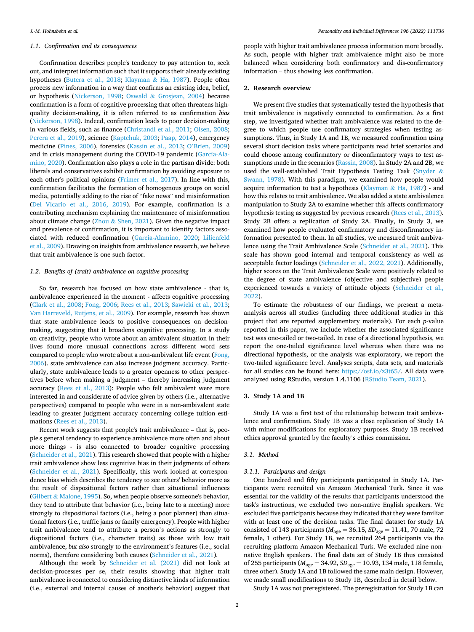#### *1.1. Confirmation and its consequences*

Confirmation describes people's tendency to pay attention to, seek out, and interpret information such that it supports their already existing hypotheses [\(Butera et al., 2018;](#page-8-0) [Klayman](#page-8-0) & Ha, 1987). People often process new information in a way that confirms an existing idea, belief, or hypothesis [\(Nickerson, 1998;](#page-8-0) Oswald & [Grosjean, 2004](#page-8-0)) because confirmation is a form of cognitive processing that often threatens highquality decision-making, it is often referred to as confirmation *bias*  ([Nickerson, 1998](#page-8-0)). Indeed, confirmation leads to poor decision-making in various fields, such as finance [\(Christandl et al., 2011;](#page-8-0) [Olsen, 2008](#page-8-0); [Perera et al., 2019](#page-8-0)), science ([Kaptchuk, 2003](#page-8-0); [Paap, 2014\)](#page-8-0), emergency medicine ([Pines, 2006\)](#page-8-0), forensics ([Kassin et al., 2013;](#page-8-0) O'[Brien, 2009\)](#page-8-0) and in crisis management during the COVID-19 pandemic ([Garcia-Ala](#page-8-0)[mino, 2020](#page-8-0)). Confirmation also plays a role in the partisan divide: both liberals and conservatives exhibit confirmation by avoiding exposure to each other's political opinions [\(Frimer et al., 2017\)](#page-8-0). In line with this, confirmation facilitates the formation of homogenous groups on social media, potentially adding to the rise of "fake news" and misinformation ([Del Vicario et al., 2016, 2019](#page-8-0)). For example, confirmation is a contributing mechanism explaining the maintenance of misinformation about climate change ( $Z$ hou & [Shen, 2021\)](#page-9-0). Given the negative impact and prevalence of confirmation, it is important to identify factors associated with reduced confirmation ([Garcia-Alamino, 2020;](#page-8-0) [Lilienfeld](#page-8-0)  [et al., 2009](#page-8-0)). Drawing on insights from ambivalence research, we believe that trait ambivalence is one such factor.

#### *1.2. Benefits of (trait) ambivalence on cognitive processing*

So far, research has focused on how state ambivalence - that is, ambivalence experienced in the moment - affects cognitive processing ([Clark et al., 2008; Fong, 2006](#page-8-0); [Rees et al., 2013](#page-8-0); [Sawicki et al., 2013](#page-8-0); [Van Harreveld, Rutjens, et al., 2009](#page-9-0)). For example, research has shown that state ambivalence leads to positive consequences on decisionmaking, suggesting that it broadens cognitive processing. In a study on creativity, people who wrote about an ambivalent situation in their lives found more unusual connections across different word sets compared to people who wrote about a non-ambivalent life event [\(Fong,](#page-8-0)  [2006\)](#page-8-0). state ambivalence can also increase judgment accuracy. Particularly, state ambivalence leads to a greater openness to other perspectives before when making a judgment – thereby increasing judgment accuracy [\(Rees et al., 2013](#page-8-0)): People who felt ambivalent were more interested in and considerate of advice given by others (i.e., alternative perspectives) compared to people who were in a non-ambivalent state leading to greater judgment accuracy concerning college tuition estimations ([Rees et al., 2013\)](#page-8-0).

Recent work suggests that people's trait ambivalence – that is, people's general tendency to experience ambivalence more often and about more things - is also connected to broader cognitive processing ([Schneider et al., 2021\)](#page-8-0). This research showed that people with a higher trait ambivalence show less cognitive bias in their judgments of others ([Schneider et al., 2021](#page-8-0)). Specifically, this work looked at correspondence bias which describes the tendency to see others' behavior more as the result of dispositional factors rather than situational influences (Gilbert & [Malone, 1995](#page-8-0)). So, when people observe someone's behavior, they tend to attribute that behavior (i.e., being late to a meeting) more strongly to dispositional factors (i.e., being a poor planner) than situational factors (i.e., traffic jams or family emergency). People with higher trait ambivalence tend to attribute a person's actions as strongly to dispositional factors (i.e., character traits) as those with low trait ambivalence, *but also* strongly to the environment's features (i.e., social norms), therefore considering both causes [\(Schneider et al., 2021\)](#page-8-0).

Although the work by [Schneider et al. \(2021\)](#page-8-0) did not look at decision-processes per se, their results showing that higher trait ambivalence is connected to considering distinctive kinds of information (i.e., external and internal causes of another's behavior) suggest that

people with higher trait ambivalence process information more broadly. As such, people with higher trait ambivalence might also be more balanced when considering both confirmatory and dis-confirmatory information – thus showing less confirmation.

#### **2. Research overview**

We present five studies that systematically tested the hypothesis that trait ambivalence is negatively connected to confirmation. As a first step, we investigated whether trait ambivalence was related to the degree to which people use confirmatory strategies when testing assumptions. Thus, in Study 1A and 1B, we measured confirmation using several short decision tasks where participants read brief scenarios and could choose among confirmatory or disconfirmatory ways to test assumptions made in the scenarios ([Rassin, 2008](#page-8-0)). In Study 2A and 2B, we used the well-established Trait Hypothesis Testing Task ([Snyder](#page-9-0) & [Swann, 1978\)](#page-9-0). With this paradigm, we examined how people would acquire information to test a hypothesis (Klayman  $\&$  [Ha, 1987](#page-8-0)) - and how this relates to trait ambivalence. We also added a state ambivalence manipulation to Study 2A to examine whether this affects confirmatory hypothesis testing as suggested by previous research ([Rees et al., 2013](#page-8-0)). Study 2B offers a replication of Study 2A. Finally, in Study 3, we examined how people evaluated confirmatory and disconfirmatory information presented to them. In all studies, we measured trait ambivalence using the Trait Ambivalence Scale ([Schneider et al., 2021\)](#page-8-0). This scale has shown good internal and temporal consistency as well as acceptable factor loadings [\(Schneider et al., 2022, 2021](#page-8-0)). Additionally, higher scores on the Trait Ambivalence Scale were positively related to the degree of state ambivalence (objective and subjective) people experienced towards a variety of attitude objects [\(Schneider et al.,](#page-8-0)  [2022\)](#page-8-0).

To estimate the robustness of our findings, we present a metaanalysis across all studies (including three additional studies in this project that are reported supplementary materials). For each *p*-value reported in this paper, we include whether the associated significance test was one-tailed or two-tailed. In case of a directional hypothesis, we report the one-tailed significance level whereas when there was no directional hypothesis, or the analysis was exploratory, we report the two-tailed significance level. Analyses scripts, data sets, and materials for all studies can be found here: [https://osf.io/z3t65/.](https://osf.io/z3t65/) All data were analyzed using RStudio, version 1.4.1106 ([RStudio Team, 2021](#page-8-0)).

## **3. Study 1A and 1B**

Study 1A was a first test of the relationship between trait ambivalence and confirmation. Study 1B was a close replication of Study 1A with minor modifications for exploratory purposes. Study 1B received ethics approval granted by the faculty's ethics commission.

#### *3.1. Method*

## *3.1.1. Participants and design*

One hundred and fifty participants participated in Study 1A. Participants were recruited via Amazon Mechanical Turk. Since it was essential for the validity of the results that participants understood the task's instructions, we excluded two non-native English speakers. We excluded five participants because they indicated that they were familiar with at least one of the decision tasks. The final dataset for study 1A consisted of 143 participants ( $M_{\text{age}} = 36.15$ ,  $SD_{\text{age}} = 11.41$ , 70 male, 72 female, 1 other). For Study 1B, we recruited 264 participants via the recruiting platform Amazon Mechanical Turk. We excluded nine nonnative English speakers. The final data set of Study 1B thus consisted of 255 participants (*M*age = 34.92, *SD*age = 10.93, 134 male, 118 female, three other). Study 1A and 1B followed the same main design. However, we made small modifications to Study 1B, described in detail below.

Study 1A was not preregistered. The preregistration for Study 1B can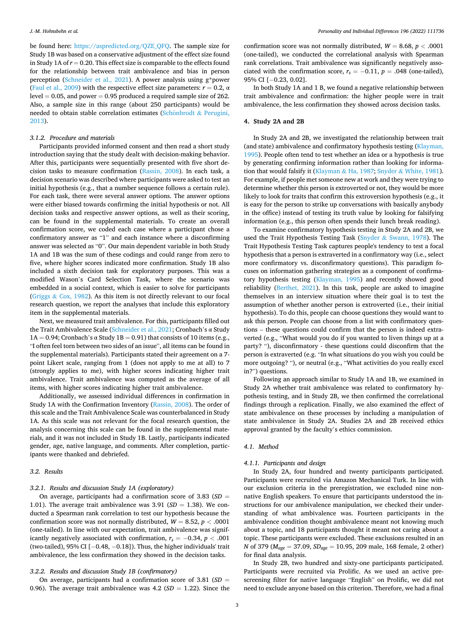be found here: [https://aspredicted.org/QZE\\_QFQ](https://aspredicted.org/QZE_QFQ). The sample size for Study 1B was based on a conservative adjustment of the effect size found in Study 1A of *r* = 0.20. This effect size is comparable to the effects found for the relationship between trait ambivalence and bias in person perception ([Schneider et al., 2021](#page-8-0)). A power analysis using g\*power ([Faul et al., 2009](#page-8-0)) with the respective effect size parameters:  $r = 0.2$ ,  $\alpha$  $level = 0.05$ , and power  $= 0.95$  produced a required sample size of 262. Also, a sample size in this range (about 250 participants) would be needed to obtain stable correlation estimates (Schönbrodt  $&$  Perugini, [2013\)](#page-8-0).

#### *3.1.2. Procedure and materials*

Participants provided informed consent and then read a short study introduction saying that the study dealt with decision-making behavior. After this, participants were sequentially presented with five short decision tasks to measure confirmation ([Rassin, 2008](#page-8-0)). In each task, a decision scenario was described where participants were asked to test an initial hypothesis (e.g., that a number sequence follows a certain rule). For each task, there were several answer options. The answer options were either biased towards confirming the initial hypothesis or not. All decision tasks and respective answer options, as well as their scoring, can be found in the supplemental materials. To create an overall confirmation score, we coded each case where a participant chose a confirmatory answer as "1" and each instance where a disconfirming answer was selected as "0". Our main dependent variable in both Study 1A and 1B was the sum of these codings and could range from zero to five, where higher scores indicated more confirmation. Study 1B also included a sixth decision task for exploratory purposes. This was a modified Wason's Card Selection Task, where the scenario was embedded in a social context, which is easier to solve for participants (Griggs & [Cox, 1982\)](#page-8-0). As this item is not directly relevant to our focal research question, we report the analyses that include this exploratory item in the supplemental materials.

Next, we measured trait ambivalence. For this, participants filled out the Trait Ambivalence Scale ([Schneider et al., 2021;](#page-8-0) Cronbach's α Study  $1A = 0.94$ ; Cronbach's α Study  $1B = 0.91$ ) that consists of 10 items (e.g., "I often feel torn between two sides of an issue", all items can be found in the supplemental materials). Participants stated their agreement on a 7 point Likert scale, ranging from 1 (does not apply to me at all) to 7 (strongly applies to me), with higher scores indicating higher trait ambivalence. Trait ambivalence was computed as the average of all items, with higher scores indicating higher trait ambivalence.

Additionally, we assessed individual differences in confirmation in Study 1A with the Confirmation Inventory [\(Rassin, 2008](#page-8-0)). The order of this scale and the Trait Ambivalence Scale was counterbalanced in Study 1A. As this scale was not relevant for the focal research question, the analysis concerning this scale can be found in the supplemental materials, and it was not included in Study 1B. Lastly, participants indicated gender, age, native language, and comments. After completion, participants were thanked and debriefed.

#### *3.2. Results*

# *3.2.1. Results and discussion Study 1A (exploratory)*

On average, participants had a confirmation score of 3.83 (*SD* = 1.01). The average trait ambivalence was  $3.91$  ( $SD = 1.38$ ). We conducted a Spearman rank correlation to test our hypothesis because the confirmation score was not normally distributed,  $W = 8.52$ ,  $p < .0001$ (one-tailed). In line with our expectation, trait ambivalence was significantly negatively associated with confirmation,  $r_s = -0.34$ ,  $p < .001$ (two-tailed), 95% CI [− 0.48, − 0.18]). Thus, the higher individuals' trait ambivalence, the less confirmation they showed in the decision tasks.

## *3.2.2. Results and discussion Study 1B (confirmatory)*

On average, participants had a confirmation score of 3.81 (*SD* = 0.96). The average trait ambivalence was  $4.2$  ( $SD = 1.22$ ). Since the confirmation score was not normally distributed,  $W = 8.68$ ,  $p < .0001$ (one-tailed), we conducted the correlational analysis with Spearman rank correlations. Trait ambivalence was significantly negatively associated with the confirmation score,  $r_s = -0.11$ ,  $p = .048$  (one-tailed), 95% CI [-0.23, 0.02].

In both Study 1A and 1 B, we found a negative relationship between trait ambivalence and confirmation: the higher people were in trait ambivalence, the less confirmation they showed across decision tasks.

## **4. Study 2A and 2B**

In Study 2A and 2B, we investigated the relationship between trait (and state) ambivalence and confirmatory hypothesis testing [\(Klayman,](#page-8-0)  [1995\)](#page-8-0). People often tend to test whether an idea or a hypothesis is true by generating confirming information rather than looking for information that would falsify it ([Klayman](#page-8-0) & Ha, 1987; Snyder & [White, 1981](#page-9-0)). For example, if people met someone new at work and they were trying to determine whether this person is extroverted or not, they would be more likely to look for traits that confirm this extroversion hypothesis (e.g., it is easy for the person to strike up conversations with basically anybody in the office) instead of testing its truth value by looking for falsifying information (e.g., this person often spends their lunch break reading).

To examine confirmatory hypothesis testing in Study 2A and 2B, we used the Trait Hypothesis Testing Task (Snyder & [Swann, 1978](#page-9-0)). The Trait Hypothesis Testing Task captures people's tendency to test a focal hypothesis that a person is extraverted in a confirmatory way (i.e., select more confirmatory vs. disconfirmatory questions). This paradigm focuses on information gathering strategies as a component of confirmatory hypothesis testing [\(Klayman, 1995\)](#page-8-0) and recently showed good reliability ([Berthet, 2021](#page-8-0)). In this task, people are asked to imagine themselves in an interview situation where their goal is to test the assumption of whether another person is extroverted (i.e., their initial hypothesis). To do this, people can choose questions they would want to ask this person. People can choose from a list with confirmatory questions – these questions could confirm that the person is indeed extraverted (e.g., "What would you do if you wanted to liven things up at a party? "), disconfirmatory - these questions could disconfirm that the person is extraverted (e.g. "In what situations do you wish you could be more outgoing? "), or neutral (e.g., "What activities do you really excel in?") questions.

Following an approach similar to Study 1A and 1B, we examined in Study 2A whether trait ambivalence was related to confirmatory hypothesis testing, and in Study 2B, we then confirmed the correlational findings through a replication. Finally, we also examined the effect of state ambivalence on these processes by including a manipulation of state ambivalence in Study 2A. Studies 2A and 2B received ethics approval granted by the faculty's ethics commission.

## *4.1. Method*

#### *4.1.1. Participants and design*

In Study 2A, four hundred and twenty participants participated. Participants were recruited via Amazon Mechanical Turk. In line with our exclusion criteria in the preregistration, we excluded nine nonnative English speakers. To ensure that participants understood the instructions for our ambivalence manipulation, we checked their understanding of what ambivalence was. Fourteen participants in the ambivalence condition thought ambivalence meant not knowing much about a topic, and 18 participants thought it meant not caring about a topic. These participants were excluded. These exclusions resulted in an *N* of 379 (*Mage* = 37.09, *SDage* = 10.95, 209 male, 168 female, 2 other) for final data analysis.

In Study 2B, two hundred and sixty-one participants participated. Participants were recruited via Prolific. As we used an active prescreening filter for native language "English" on Prolific, we did not need to exclude anyone based on this criterion. Therefore, we had a final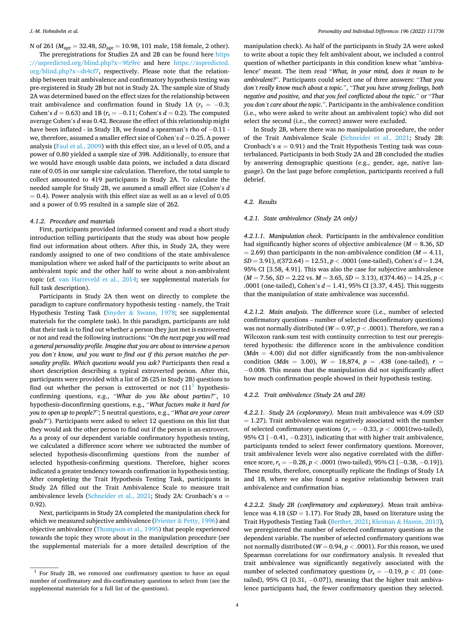N of 261 (*M*age = 32.48, *SD*age = 10.98, 101 male, 158 female, 2 other).

The preregistrations for Studies 2A and 2B can be found here [https](https://aspredicted.org/blind.php?x=9fz9re)  [://aspredicted.org/blind.php?x](https://aspredicted.org/blind.php?x=9fz9re)=9fz9re and here [https://aspredicted.](https://aspredicted.org/blind.php?x=sh4cf7)  [org/blind.php?x](https://aspredicted.org/blind.php?x=sh4cf7)=sh4cf7, respectively. Please note that the relationship between trait ambivalence and confirmatory hypothesis testing was pre-registered in Study 2B but not in Study 2A. The sample size of Study 2A was determined based on the effect sizes for the relationship between trait ambivalence and confirmation found in Study 1A ( $r_s = -0.3$ ; Cohen's *d* = 0.63) and 1B ( $r_s$  = −0.11; Cohen's *d* = 0.2). The computed average Cohen's *d* was 0.42. Because the effect of this relationship might have been inflated - in Study 1B, we found a spearman's rho of -0.11 we, therefore, assumed a smaller effect size of Cohen's  $d = 0.25$ . A power analysis ([Faul et al., 2009\)](#page-8-0) with this effect size, an  $\alpha$  level of 0.05, and a power of 0.80 yielded a sample size of 398. Additionally, to ensure that we would have enough usable data points, we included a data discard rate of 0.05 in our sample size calculation. Therefore, the total sample to collect amounted to 419 participants in Study 2A. To calculate the needed sample for Study 2B, we assumed a small effect size (Cohen's *d*   $= 0.4$ ). Power analysis with this effect size as well as an  $\alpha$  level of 0.05 and a power of 0.95 resulted in a sample size of 262.

#### *4.1.2. Procedure and materials*

First, participants provided informed consent and read a short study introduction telling participants that the study was about how people find out information about others. After this, in Study 2A, they were randomly assigned to one of two conditions of the state ambivalence manipulation where we asked half of the participants to write about an ambivalent topic and the other half to write about a non-ambivalent topic (cf. [van Harreveld et al., 2014](#page-9-0); see supplemental materials for full task description).

Participants in Study 2A then went on directly to complete the paradigm to capture confirmatory hypothesis testing - namely, the Trait Hypothesis Testing Task (Snyder & [Swann, 1978](#page-9-0); see supplemental materials for the complete task). In this paradigm, participants are told that their task is to find out whether a person they just met is extroverted or not and read the following instructions: "*On the next page you will read a general personality profile. Imagine that you are about to interview a person you don't know, and you want to find out if this person matches the personality profile. Which questions would you ask?* Participants then read a short description describing a typical extroverted person. After this, participants were provided with a list of 26 (25 in Study 2B) questions to find out whether the person is extroverted or not  $(11<sup>1</sup>$  hypothesisconfirming questions, e.g., "*What do you like about parties?*", 10 hypothesis-disconfirming questions, e.g., "*What factors make it hard for you to open up to people?*"; 5 neutral questions, e.g., "*What are your career goals?*"). Participants were asked to select 12 questions on this list that they would ask the other person to find out if the person is an extrovert. As a proxy of our dependent variable confirmatory hypothesis testing, we calculated a difference score where we subtracted the number of selected hypothesis-disconfirming questions from the number of selected hypothesis-confirming questions. Therefore, higher scores indicated a greater tendency towards confirmation in hypothesis testing. After completing the Trait Hypothesis Testing Task, participants in Study 2A filled out the Trait Ambivalence Scale to measure trait ambivalence levels ([Schneider et al., 2021;](#page-8-0) Study 2A: Cronbach's  $\alpha$  = 0.92).

Next, participants in Study 2A completed the manipulation check for which we measured subjective ambivalence (Priester & [Petty, 1996\)](#page-8-0) and objective ambivalence [\(Thompson et al., 1995\)](#page-9-0) that people experienced towards the topic they wrote about in the manipulation procedure (see the supplemental materials for a more detailed description of the

manipulation check). As half of the participants in Study 2A were asked to write about a topic they felt ambivalent about, we included a control question of whether participants in this condition knew what "ambivalence" meant. The item read "*What, in your mind, does it mean to be ambivalent?*". Participants could select one of three answers: "*That you don't really know much about a topic.*", "*That you have strong feelings, both negative and positive, and that you feel conflicted about the topic.*" or "*That you don't care about the topic.*". Participants in the ambivalence condition (i.e., who were asked to write about an ambivalent topic) who did not select the second (i.e., the correct) answer were excluded.

In Study 2B, where there was no manipulation procedure, the order of the Trait Ambivalence Scale [\(Schneider et al., 2021;](#page-8-0) Study 2B: Cronbach's  $\alpha = 0.91$ ) and the Trait Hypothesis Testing task was counterbalanced. Participants in both Study 2A and 2B concluded the studies by answering demographic questions (e.g., gender, age, native language). On the last page before completion, participants received a full debrief.

#### *4.2. Results*

## *4.2.1. State ambivalence (Study 2A only)*

*4.2.1.1. Manipulation check.* Participants in the ambivalence condition had significantly higher scores of objective ambivalence  $(M = 8.36, SD)$  $= 2.69$ ) than participants in the non-ambivalence condition ( $M = 4.11$ , *SD* = 3.91), *t*(372.64) = 12.51, *p <* .0001 (one-tailed), Cohen's *d* = 1.24, 95% CI [3.58, 4.91]. This was also the case for subjective ambivalence (*M* = 7.56, *SD* = 2.22 vs. *M* = 3.65, *SD* = 3.13), *t*(374.46) = 14.25, *p <* .0001 (one-tailed), Cohen's *d* = 1.41, 95% CI [3.37, 4.45]. This suggests that the manipulation of state ambivalence was successful.

*4.2.1.2. Main analysis.* The difference score (i.e., number of selected confirmatory questions – number of selected disconfirmatory questions) was not normally distributed ( $W = 0.97$ ,  $p < .0001$ ). Therefore, we ran a Wilcoxon rank-sum test with continuity correction to test our preregistered hypothesis: the difference score in the ambivalence condition  $(Mdn = 4.00)$  did not differ significantly from the non-ambivalence condition (*Mdn* = 3.00), *W* = 18,874, *p* = .438 (one-tailed), *r* = − 0.008. This means that the manipulation did not significantly affect how much confirmation people showed in their hypothesis testing.

#### *4.2.2. Trait ambivalence (Study 2A and 2B)*

*4.2.2.1. Study 2A (exploratory).* Mean trait ambivalence was 4.09 (*SD*   $= 1.27$ ). Trait ambivalence was negatively associated with the number of selected confirmatory questions  $(r_s = -0.33, p < .0001$  (two-tailed), 95% CI [-0.41, -0.23]), indicating that with higher trait ambivalence, participants tended to select fewer confirmatory questions. Moreover, trait ambivalence levels were also negative correlated with the difference score, *r<sub>s</sub>* = −0.28, *p* < .0001 (two-tailed), 95% CI [−0.38, −0.19]). These results, therefore, conceptually replicate the findings of Study 1A and 1B, where we also found a negative relationship between trait ambivalence and confirmation bias.

*4.2.2.2. Study 2B (confirmatory and exploratory).* Mean trait ambivalence was 4.18 (*SD* = 1.17). For Study 2B, based on literature using the Trait Hypothesis Testing Task ([Berthet, 2021](#page-8-0); Kleiman & [Hassin, 2013](#page-8-0)), we preregistered the number of selected confirmatory questions as the dependent variable. The number of selected confirmatory questions was not normally distributed (*W* = 0.94, *p <* .0001). For this reason, we used Spearman correlations for our confirmatory analysis. It revealed that trait ambivalence was significantly negatively associated with the number of selected confirmatory questions ( $r_s = -0.19$ ,  $p < .01$  (onetailed), 95% CI  $[0.31, -0.07]$ ), meaning that the higher trait ambivalence participants had, the fewer confirmatory question they selected.

<sup>&</sup>lt;sup>1</sup> For Study 2B, we removed one confirmatory question to have an equal number of confirmatory and dis-confirmatory questions to select from (see the supplemental materials for a full list of the questions).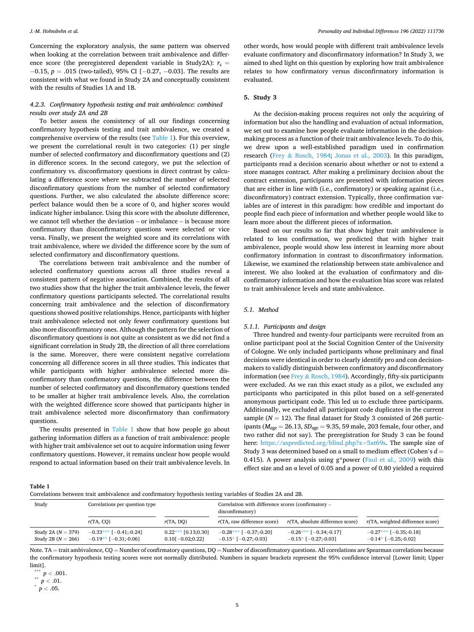Concerning the exploratory analysis, the same pattern was observed when looking at the correlation between trait ambivalence and difference score (the preregistered dependent variable in Study2A):  $r_s$  = − 0.15, *p* = .015 (two-tailed), 95% CI [− 0.27, − 0.03]. The results are consistent with what we found in Study 2A and conceptually consistent with the results of Studies 1A and 1B.

## *4.2.3. Confirmatory hypothesis testing and trait ambivalence: combined results over study 2A and 2B*

To better assess the consistency of all our findings concerning confirmatory hypothesis testing and trait ambivalence, we created a comprehensive overview of the results (see Table 1). For this overview, we present the correlational result in two categories: (1) per single number of selected confirmatory and disconfirmatory questions and (2) in difference scores. In the second category, we put the selection of confirmatory vs. disconfirmatory questions in direct contrast by calculating a difference score where we subtracted the number of selected disconfirmatory questions from the number of selected confirmatory questions. Further, we also calculated the absolute difference score: perfect balance would then be a score of 0, and higher scores would indicate higher imbalance. Using this score with the absolute difference, we cannot tell whether the deviation – or imbalance – is because more confirmatory than disconfirmatory questions were selected or vice versa. Finally, we present the weighted score and its correlations with trait ambivalence, where we divided the difference score by the sum of selected confirmatory and disconfirmatory questions.

The correlations between trait ambivalence and the number of selected confirmatory questions across all three studies reveal a consistent pattern of negative association. Combined, the results of all two studies show that the higher the trait ambivalence levels, the fewer confirmatory questions participants selected. The correlational results concerning trait ambivalence and the selection of disconfirmatory questions showed positive relationships. Hence, participants with higher trait ambivalence selected not only fewer confirmatory questions but also more disconfirmatory ones. Although the pattern for the selection of disconfirmatory questions is not quite as consistent as we did not find a significant correlation in Study 2B, the direction of all three correlations is the same. Moreover, there were consistent negative correlations concerning all difference scores in all three studies. This indicates that while participants with higher ambivalence selected more disconfirmatory than confirmatory questions, the difference between the number of selected confirmatory and disconfirmatory questions tended to be smaller at higher trait ambivalence levels. Also, the correlation with the weighted difference score showed that participants higher in trait ambivalence selected more disconfirmatory than confirmatory questions.

The results presented in Table 1 show that how people go about gathering information differs as a function of trait ambivalence: people with higher trait ambivalence set out to acquire information using fewer confirmatory questions. However, it remains unclear how people would respond to actual information based on their trait ambivalence levels. In other words, how would people with different trait ambivalence levels evaluate confirmatory and disconfirmatory information? In Study 3, we aimed to shed light on this question by exploring how trait ambivalence relates to how confirmatory versus disconfirmatory information is evaluated.

# **5. Study 3**

As the decision-making process requires not only the acquiring of information but also the handling and evaluation of actual information, we set out to examine how people evaluate information in the decisionmaking process as a function of their trait ambivalence levels. To do this, we drew upon a well-established paradigm used in confirmation research (Frey & [Rosch, 1984;](#page-8-0) [Jonas et al., 2003\)](#page-8-0). In this paradigm, participants read a decision scenario about whether or not to extend a store manages contract. After making a preliminary decision about the contract extension, participants are presented with information pieces that are either in line with (i.e., confirmatory) or speaking against (i.e., disconfirmatory) contract extension. Typically, three confirmation variables are of interest in this paradigm: how credible and important do people find each piece of information and whether people would like to learn more about the different pieces of information.

Based on our results so far that show higher trait ambivalence is related to less confirmation, we predicted that with higher trait ambivalence, people would show less interest in learning more about confirmatory information in contrast to disconfirmatory information. Likewise, we examined the relationship between state ambivalence and interest. We also looked at the evaluation of confirmatory and disconfirmatory information and how the evaluation bias score was related to trait ambivalence levels and state ambivalence.

## *5.1. Method*

#### *5.1.1. Participants and design*

Three hundred and twenty-four participants were recruited from an online participant pool at the Social Cognition Center of the University of Cologne. We only included participants whose preliminary and final decisions were identical in order to clearly identify pro and con decisionmakers to validly distinguish between confirmatory and disconfirmatory information (see Frey & [Rosch, 1984](#page-8-0)). Accordingly, fifty-six participants were excluded. As we ran this exact study as a pilot, we excluded any participants who participated in this pilot based on a self-generated anonymous participant code. This led us to exclude three participants. Additionally, we excluded all participant code duplicates in the current sample ( $N = 12$ ). The final dataset for Study 3 consisted of 268 participants (*Mage* = 26.13, *SDage* = 9.35, 59 male, 203 female, four other, and two rather did not say). The preregistration for Study 3 can be found here: [https://aspredicted.org/blind.php?x](https://aspredicted.org/blind.php?x=5xt69s)=5xt69s. The sample size of Study 3 was determined based on a small to medium effect (Cohen's *d* = 0.415). A power analysis using  $g*$  power ([Faul et al., 2009](#page-8-0)) with this effect size and an  $\alpha$  level of 0.05 and a power of 0.80 yielded a required

**Table 1** 

| Correlations between trait ambivalence and confirmatory hypothesis testing variables of Studies 2A and 2B. |  |
|------------------------------------------------------------------------------------------------------------|--|
|------------------------------------------------------------------------------------------------------------|--|

| Study                                          | Correlations per question type                      |                                             | Correlation with difference scores (confirmatory -<br>disconfirmatory) |                                                             |                                                        |
|------------------------------------------------|-----------------------------------------------------|---------------------------------------------|------------------------------------------------------------------------|-------------------------------------------------------------|--------------------------------------------------------|
|                                                | r(TA, CO)                                           | r(TA, DO)                                   | r(TA, raw difference score)                                            | $r$ (TA, absolute difference score)                         | r(TA, weighted difference score)                       |
| Study 2A $(N = 379)$<br>Study 2B ( $N = 266$ ) | $-0.33***$ [-0.41;-0.24]<br>$-0.19**$ [-0.31;-0.06] | $0.22***$ [0.13;0.30]<br>$0.10[-0.02;0.22]$ | $-0.28***$ [-0.37;-0.20]<br>$-0.15$ * [ $-0.27$ ;-0.03]                | $-0.26***$ [ $-0.34:-0.17$ ]<br>$-0.15$ * [ $-0.27$ ;-0.03] | $-0.27***$ [-0.35;-0.18]<br>$-0.14*$ [ $-0.25:-0.02$ ] |

Note. TA = trait ambivalence, CQ = Number of confirmatory questions, DQ = Number of disconfirmatory questions. All correlations are Spearman correlations because the confirmatory hypothesis testing scores were not normally distributed. Numbers in square brackets represent the 95% confidence interval [Lower limit; Upper limit].

 $\begin{array}{l} * \ * \ * \ p < .001. \ * \ p < .01. \ * \ p < .05. \end{array}$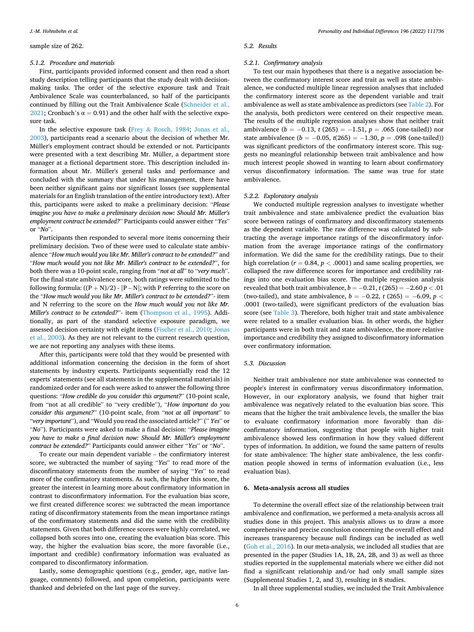#### sample size of 262.

#### *5.1.2. Procedure and materials*

First, participants provided informed consent and then read a short study description telling participants that the study dealt with decisionmaking tasks. The order of the selective exposure task and Trait Ambivalence Scale was counterbalanced, so half of the participants continued by filling out the Trait Ambivalence Scale ([Schneider et al.,](#page-8-0)  [2021;](#page-8-0) Cronbach's  $\alpha = 0.91$ ) and the other half with the selective exposure task.

In the selective exposure task (Frey & [Rosch, 1984](#page-8-0); [Jonas et al.,](#page-8-0)  [2003\)](#page-8-0), participants read a scenario about the decision of whether Mr. Müller's employment contract should be extended or not. Participants were presented with a text describing Mr. Müller, a department store manager at a fictional department store. This description included information about Mr. Müller's general tasks and performance and concluded with the summary that under his management, there have been neither significant gains nor significant losses (see supplemental materials for an English translation of the entire introductory text). After this, participants were asked to make a preliminary decision: "*Please imagine you have to make a preliminary decision now: Should Mr. Müller's employment contract be extended?*" Participants could answer either "*Yes*" or "*No*".

Participants then responded to several more items concerning their preliminary decision. Two of these were used to calculate state ambivalence "*How much would you like Mr. Miller's contract to be extended?*" and "*How much would you not like Mr. Miller's contract to be extended?*", for both there was a 10-point scale, ranging from "*not at all*" to "*very much*". For the final state ambivalence score, both ratings were submitted to the following formula:  $((P + N)/2) - |P - N|$ ; with P referring to the score on the "*How much would you like Mr. Miller's contract to be extended?*"- item and N referring to the score on the *How much would you not like Mr. Miller's contract to be extended?*"- item [\(Thompson et al., 1995](#page-9-0)). Additionally, as part of the standard selective exposure paradigm, we assessed decision certainty with eight items ([Fischer et al., 2010](#page-8-0); [Jonas](#page-8-0)  [et al., 2003\)](#page-8-0). As they are not relevant to the current research question, we are not reporting any analyses with these items.

After this, participants were told that they would be presented with additional information concerning the decision in the form of short statements by industry experts. Participants sequentially read the 12 experts' statements (see all statements in the supplemental materials) in randomized order and for each were asked to answer the following three questions: "*How credible do you consider this argument?*" (10-point scale, from "not at all credible" to "very credible"), "*How important do you consider this argument?*" (10-point scale, from "*not at all important*" to "*very important*"), and "Would you read the associated article?" (" *Yes*" or "*No*"). Participants were asked to make a final decision: "*Please imagine you have to make a final decision now: Should Mr. Müller's employment contract be extended?*" Participants could answer either "*Yes*" or "*No*".

To create our main dependent variable – the confirmatory interest score, we subtracted the number of saying "*Yes*" to read more of the disconfirmatory statements from the number of saying "*Yes*" to read more of the confirmatory statements. As such, the higher this score, the greater the interest in learning more about confirmatory information in contrast to disconfirmatory information. For the evaluation bias score, we first created difference scores: we subtracted the mean importance rating of disconfirmatory statements from the mean importance ratings of the confirmatory statements and did the same with the credibility statements. Given that both difference scores were highly correlated, we collapsed both scores into one, creating the evaluation bias score. This way, the higher the evaluation bias score, the more favorable (i.e., important and credible) confirmatory information was evaluated as compared to disconfirmatory information.

Lastly, some demographic questions (e.g., gender, age, native language, comments) followed, and upon completion, participants were thanked and debriefed on the last page of the survey.

#### *5.2. Results*

#### *5.2.1. Confirmatory analysis*

To test our main hypotheses that there is a negative association between the confirmatory interest score and trait as well as state ambivalence, we conducted multiple linear regression analyses that included the confirmatory interest score as the dependent variable and trait ambivalence as well as state ambivalence as predictors (see [Table 2\)](#page-6-0). For the analysis, both predictors were centered on their respective mean. The results of the multiple regression analyses show that neither trait ambivalence (*b* = −0.13, *t* (265) = −1.51, *p* = .065 (one-tailed)) nor state ambivalence ( $b = -0.05$ ,  $t(265) = -1.30$ ,  $p = .098$  (one-tailed)) was significant predictors of the confirmatory interest score. This suggests no meaningful relationship between trait ambivalence and how much interest people showed in wanting to learn about confirmatory versus disconfirmatory information. The same was true for state ambivalence.

#### *5.2.2. Exploratory analysis*

We conducted multiple regression analyses to investigate whether trait ambivalence and state ambivalence predict the evaluation bias score between ratings of confirmatory and disconfirmatory statements as the dependent variable. The raw difference was calculated by subtracting the average importance ratings of the disconfirmatory information from the average importance ratings of the confirmatory information. We did the same for the credibility ratings. Due to their high correlation ( $r = 0.84$ ,  $p < .0001$ ) and same scaling properties, we collapsed the raw difference scores for importance and credibility ratings into one evaluation bias score. The multiple regression analysis revealed that both trait ambivalence,  $b = -0.21$ ,  $t(265) = -2.60 p < .01$ (two-tailed), and state ambivalence,  $b = -0.22$ ,  $t (265) = -6.09$ ,  $p <$ .0001 (two-tailed), were significant predictors of the evaluation bias score (see [Table 3](#page-6-0)). Therefore, both higher trait and state ambivalence were related to a smaller evaluation bias. In other words, the higher participants were in both trait and state ambivalence, the more relative importance and credibility they assigned to disconfirmatory information over confirmatory information.

#### *5.3. Discussion*

Neither trait ambivalence nor state ambivalence was connected to people's interest in confirmatory versus disconfirmatory information. However, in our exploratory analysis, we found that higher trait ambivalence was negatively related to the evaluation bias score. This means that the higher the trait ambivalence levels, the smaller the bias to evaluate confirmatory information more favorably than disconfirmatory information, suggesting that people with higher trait ambivalence showed less confirmation in how they valued different types of information. In addition, we found the same pattern of results for state ambivalence: The higher state ambivalence, the less confirmation people showed in terms of information evaluation (i.e., less evaluation bias).

#### **6. Meta-analysis across all studies**

To determine the overall effect size of the relationship between trait ambivalence and confirmation, we performed a meta-analysis across all studies done in this project. This analysis allows us to draw a more comprehensive and precise conclusion concerning the overall effect and increases transparency because null findings can be included as well ([Goh et al., 2016\)](#page-8-0). In our meta-analysis, we included all studies that are presented in the paper (Studies 1A, 1B, 2A, 2B, and 3) as well as three studies reported in the supplemental materials where we either did not find a significant relationship and/or had only small sample sizes (Supplemental Studies 1, 2, and 3), resulting in 8 studies.

In all three supplemental studies, we included the Trait Ambivalence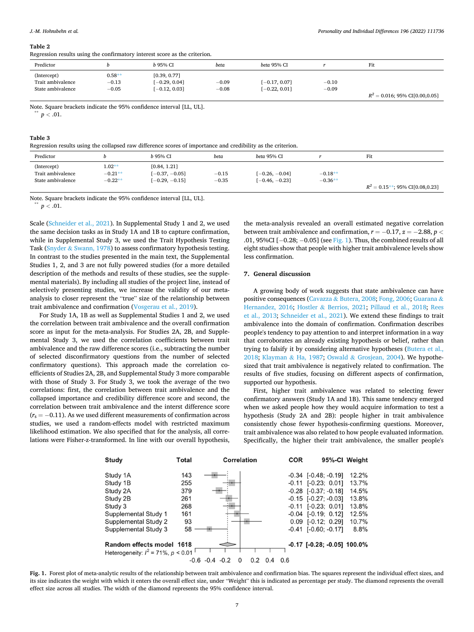<span id="page-6-0"></span>Regression results using the confirmatory interest score as the criterion.

| respectively require again, the communicatively interest acord as the extrement |          |                 |         |                 |         |                                   |
|---------------------------------------------------------------------------------|----------|-----------------|---------|-----------------|---------|-----------------------------------|
| Predictor                                                                       |          | b 95% CI        | beta    | beta 95% CI     |         | Fit                               |
| (Intercept)                                                                     | $0.58**$ | [0.39, 0.77]    |         |                 |         |                                   |
| Trait ambivalence                                                               | $-0.13$  | $[-0.29, 0.04]$ | $-0.09$ | $[-0.17, 0.07]$ | $-0.10$ |                                   |
| State ambivalence                                                               | $-0.05$  | $[-0.12, 0.03]$ | $-0.08$ | $[-0.22, 0.01]$ | $-0.09$ |                                   |
|                                                                                 |          |                 |         |                 |         | $R^2 = 0.016$ ; 95% CI[0.00,0.05] |

Note. Square brackets indicate the 95% confidence interval [LL, UL]. \*\* *<sup>p</sup><sup>&</sup>lt;* .01.

#### **Table 3**

Regression results using the collapsed raw difference scores of importance and credibility as the criterion.

| Predictor                                             |                                    | b 95% CI                                             | beta               | beta 95% CI                          |                        | Fit                                |
|-------------------------------------------------------|------------------------------------|------------------------------------------------------|--------------------|--------------------------------------|------------------------|------------------------------------|
| (Intercept)<br>Trait ambivalence<br>State ambivalence | $1.02**$<br>$-0.21**$<br>$-0.22**$ | [0.84, 1.21]<br>$[-0.37, -0.05]$<br>$[-0.29, -0.15]$ | $-0.15$<br>$-0.35$ | $[-0.26, -0.04]$<br>$[-0.46, -0.23]$ | $-0.18**$<br>$-0.36**$ | $R^2 = 0.15$ **; 95% CI[0.08,0.23] |

Note. Square brackets indicate the 95% confidence interval [LL, UL]. \*\* *<sup>p</sup><sup>&</sup>lt;* .01.

Scale [\(Schneider et al., 2021\)](#page-8-0). In Supplemental Study 1 and 2, we used the same decision tasks as in Study 1A and 1B to capture confirmation, while in Supplemental Study 3, we used the Trait Hypothesis Testing Task (Snyder & [Swann, 1978\)](#page-9-0) to assess confirmatory hypothesis testing. In contrast to the studies presented in the main text, the Supplemental Studies 1, 2, and 3 are not fully powered studies (for a more detailed description of the methods and results of these studies, see the supplemental materials). By including all studies of the project line, instead of selectively presenting studies, we increase the validity of our metaanalysis to closer represent the "true" size of the relationship between trait ambivalence and confirmation [\(Vosgerau et al., 2019](#page-9-0)).

For Study 1A, 1B as well as Supplemental Studies 1 and 2, we used the correlation between trait ambivalence and the overall confirmation score as input for the meta-analysis. For Studies 2A, 2B, and Supplemental Study 3, we used the correlation coefficients between trait ambivalence and the raw difference scores (i.e., subtracting the number of selected disconfirmatory questions from the number of selected confirmatory questions). This approach made the correlation coefficients of Studies 2A, 2B, and Supplemental Study 3 more comparable with those of Study 3. For Study 3, we took the average of the two correlations: first, the correlation between trait ambivalence and the collapsed importance and credibility difference score and second, the correlation between trait ambivalence and the interst difference score  $(r<sub>s</sub> = -0.11)$ . As we used different measurements of confirmation across studies, we used a random-effects model with restricted maximum likelihood estimation. We also specified that for the analysis, all correlations were Fisher-z-transformed. In line with our overall hypothesis,

the meta-analysis revealed an overall estimated negative correlation between trait ambivalence and confirmation,  $r = -0.17$ ,  $z = -2.88$ ,  $p <$ .01, 95%CI  $[-0.28; -0.05]$  (see Fig. 1). Thus, the combined results of all eight studies show that people with higher trait ambivalence levels show less confirmation.

#### **7. General discussion**

A growing body of work suggests that state ambivalence can have positive consequences (Cavazza & [Butera, 2008](#page-8-0); [Fong, 2006; Guarana](#page-8-0) & [Hernandez, 2016](#page-8-0); Hostler & [Berrios, 2021](#page-8-0); [Pillaud et al., 2018](#page-8-0); [Rees](#page-8-0)  [et al., 2013;](#page-8-0) [Schneider et al., 2021\)](#page-8-0). We extend these findings to trait ambivalence into the domain of confirmation. Confirmation describes people's tendency to pay attention to and interpret information in a way that corroborates an already existing hypothesis or belief, rather than trying to falsify it by considering alternative hypotheses ([Butera et al.,](#page-8-0)  [2018;](#page-8-0) [Klayman](#page-8-0) & Ha, 1987; Oswald & [Grosjean, 2004\)](#page-8-0). We hypothesized that trait ambivalence is negatively related to confirmation. The results of five studies, focusing on different aspects of confirmation, supported our hypothesis.

First, higher trait ambivalence was related to selecting fewer confirmatory answers (Study 1A and 1B). This same tendency emerged when we asked people how they would acquire information to test a hypothesis (Study 2A and 2B): people higher in trait ambivalence consistently chose fewer hypothesis-confirming questions. Moreover, trait ambivalence was also related to how people evaluated information. Specifically, the higher their trait ambivalence, the smaller people's



**Fig. 1.** Forest plot of meta-analytic results of the relationship between trait ambivalence and confirmation bias. The squares represent the individual effect sizes, and its size indicates the weight with which it enters the overall effect size, under "Weight" this is indicated as percentage per study. The diamond represents the overall effect size across all studies. The width of the diamond represents the 95% confidence interval.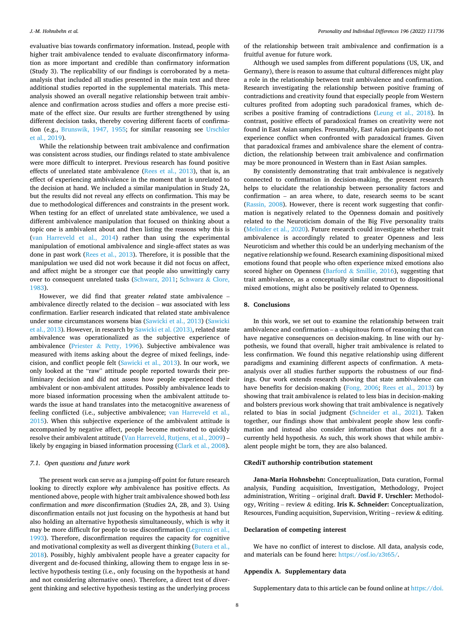evaluative bias towards confirmatory information. Instead, people with higher trait ambivalence tended to evaluate disconfirmatory information as more important and credible than confirmatory information (Study 3). The replicability of our findings is corroborated by a metaanalysis that included all studies presented in the main text and three additional studies reported in the supplemental materials. This metaanalysis showed an overall negative relationship between trait ambivalence and confirmation across studies and offers a more precise estimate of the effect size. Our results are further strengthened by using different decision tasks, thereby covering different facets of confirmation (e.g., [Brunswik, 1947, 1955](#page-8-0); for similar reasoning see [Urschler](#page-9-0)  [et al., 2019\)](#page-9-0).

While the relationship between trait ambivalence and confirmation was consistent across studies, our findings related to state ambivalence were more difficult to interpret. Previous research has found positive effects of unrelated state ambivalence [\(Rees et al., 2013\)](#page-8-0), that is, an effect of experiencing ambivalence in the moment that is unrelated to the decision at hand. We included a similar manipulation in Study 2A, but the results did not reveal any effects on confirmation. This may be due to methodological differences and constraints in the present work. When testing for an effect of unrelated state ambivalence, we used a different ambivalence manipulation that focused on thinking about a topic one is ambivalent about and then listing the reasons why this is ([van Harreveld et al., 2014](#page-9-0)) rather than using the experimental manipulation of emotional ambivalence and single-affect states as was done in past work ([Rees et al., 2013](#page-8-0)). Therefore, it is possible that the manipulation we used did not work because it did not focus on affect, and affect might be a stronger cue that people also unwittingly carry over to consequent unrelated tasks [\(Schwarz, 2011](#page-9-0); [Schwarz](#page-9-0) & Clore, [1983\)](#page-9-0).

However, we did find that greater *related* state ambivalence – ambivalence directly related to the decision – *was* associated with less confirmation. Earlier research indicated that related state ambivalence under some circumstances worsens bias [\(Sawicki et al., 2013](#page-8-0)) [\(Sawicki](#page-8-0)  [et al., 2013\)](#page-8-0). However, in research by [Sawicki et al. \(2013\),](#page-8-0) related state ambivalence was operationalized as the subjective experience of ambivalence (Priester & [Petty, 1996](#page-8-0)). Subjective ambivalence was measured with items asking about the degree of mixed feelings, indecision, and conflict people felt ([Sawicki et al., 2013\)](#page-8-0). In our work, we only looked at the "raw" attitude people reported towards their preliminary decision and did not assess how people experienced their ambivalent or non-ambivalent attitudes. Possibly ambivalence leads to more biased information processing when the ambivalent attitude towards the issue at hand translates into the metacognitive awareness of feeling conflicted (i.e., subjective ambivalence; [van Harreveld et al.,](#page-9-0)  [2015\)](#page-9-0). When this subjective experience of the ambivalent attitude is accompanied by negative affect, people become motivated to quickly resolve their ambivalent attitude [\(Van Harreveld, Rutjens, et al., 2009\)](#page-9-0) – likely by engaging in biased information processing [\(Clark et al., 2008](#page-8-0)).

## *7.1. Open questions and future work*

The present work can serve as a jumping-off point for future research looking to directly explore *why* ambivalence has positive effects. As mentioned above, people with higher trait ambivalence showed both *less*  confirmation and *more* disconfirmation (Studies 2A, 2B, and 3). Using disconfirmation entails not just focusing on the hypothesis at hand but also holding an alternative hypothesis simultaneously, which is why it may be more difficult for people to use disconfirmation ([Legrenzi et al.,](#page-8-0)  [1993\)](#page-8-0). Therefore, disconfirmation requires the capacity for cognitive and motivational complexity as well as divergent thinking [\(Butera et al.,](#page-8-0)  [2018\)](#page-8-0). Possibly, highly ambivalent people have a greater capacity for divergent and de-focused thinking, allowing them to engage less in selective hypothesis testing (i.e., only focusing on the hypothesis at hand and not considering alternative ones). Therefore, a direct test of divergent thinking and selective hypothesis testing as the underlying process

of the relationship between trait ambivalence and confirmation is a fruitful avenue for future work.

Although we used samples from different populations (US, UK, and Germany), there is reason to assume that cultural differences might play a role in the relationship between trait ambivalence and confirmation. Research investigating the relationship between positive framing of contradictions and creativity found that especially people from Western cultures profited from adopting such paradoxical frames, which describes a positive framing of contradictions [\(Leung et al., 2018](#page-8-0)). In contrast, positive effects of paradoxical frames on creativity were not found in East Asian samples. Presumably, East Asian participants do not experience conflict when confronted with paradoxical frames. Given that paradoxical frames and ambivalence share the element of contradiction, the relationship between trait ambivalence and confirmation may be more pronounced in Western than in East Asian samples.

By consistently demonstrating that trait ambivalence is negatively connected to confirmation in decision-making, the present research helps to elucidate the relationship between personality factors and confirmation – an area where, to date, research seems to be scant ([Rassin, 2008](#page-8-0)). However, there is recent work suggesting that confirmation is negatively related to the Openness domain and positively related to the Neuroticism domain of the Big Five personality traits ([Melinder et al., 2020\)](#page-8-0). Future research could investigate whether trait ambivalence is accordingly related to greater Openness and less Neuroticism and whether this could be an underlying mechanism of the negative relationship we found. Research examining dispositional mixed emotions found that people who often experience mixed emotions also scored higher on Openness (Barford  $&$  [Smillie, 2016](#page-8-0)), suggesting that trait ambivalence, as a conceptually similar construct to dispositional mixed emotions, might also be positively related to Openness.

#### **8. Conclusions**

In this work, we set out to examine the relationship between trait ambivalence and confirmation – a ubiquitous form of reasoning that can have negative consequences on decision-making. In line with our hypothesis, we found that overall, higher trait ambivalence is related to less confirmation. We found this negative relationship using different paradigms and examining different aspects of confirmation. A metaanalysis over all studies further supports the robustness of our findings. Our work extends research showing that state ambivalence can have benefits for decision-making ([Fong, 2006;](#page-8-0) [Rees et al., 2013\)](#page-8-0) by showing that trait ambivalence is related to less bias in decision-making and bolsters previous work showing that trait ambivalence is negatively related to bias in social judgment ([Schneider et al., 2021](#page-8-0)). Taken together, our findings show that ambivalent people show less confirmation and instead also consider information that does not fit a currently held hypothesis. As such, this work shows that while ambivalent people might be torn, they are also balanced.

#### **CRediT authorship contribution statement**

**Jana-Maria Hohnsbehn:** Conceptualization, Data curation, Formal analysis, Funding acquisition, Investigation, Methodology, Project administration, Writing – original draft. **David F. Urschler:** Methodology, Writing – review & editing. **Iris K. Schneider:** Conceptualization, Resources, Funding acquisition, Supervision, Writing – review & editing.

#### **Declaration of competing interest**

We have no conflict of interest to disclose. All data, analysis code, and materials can be found here: [https://osf.io/z3t65/.](https://osf.io/z3t65/)

## **Appendix A. Supplementary data**

Supplementary data to this article can be found online at [https://doi.](https://doi.org/10.1016/j.paid.2022.111736)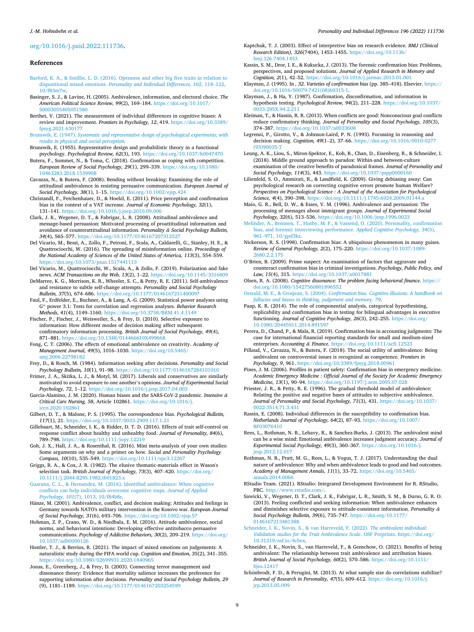#### <span id="page-8-0"></span>[org/10.1016/j.paid.2022.111736.](https://doi.org/10.1016/j.paid.2022.111736)

#### **References**

- [Barford, K. A., & Smillie, L. D. \(2016\). Openness and other big five traits in relation to](http://refhub.elsevier.com/S0191-8869(22)00241-0/rf202205201919562485)  dispositional mixed emotions. *[Personality and Individual Differences, 102](http://refhub.elsevier.com/S0191-8869(22)00241-0/rf202205201919562485)*, 118–122, [10/f83m7w](http://refhub.elsevier.com/S0191-8869(22)00241-0/rf202205201919562485).
- Basinger, S. J., & Lavine, H. (2005). Ambivalence, information, and electoral choice. *The American Political Science Review, 99*(2), 169–184. [https://doi.org/10.1017/](https://doi.org/10.1017/S0003055405051580) [S0003055405051580](https://doi.org/10.1017/S0003055405051580)
- Berthet, V. (2021). The measurement of individual differences in cognitive biases: A review and improvement. *Frontiers in Psychology, 12*, 419. [https://doi.org/10.3389/](https://doi.org/10.3389/fpsyg.2021.630177)  [fpsyg.2021.630177](https://doi.org/10.3389/fpsyg.2021.630177)
- Brunswik, E. (1947). *[Systematic and representative design of psychological experiments; with](http://refhub.elsevier.com/S0191-8869(22)00241-0/rf202205201923076394)  [results in physical and social perception](http://refhub.elsevier.com/S0191-8869(22)00241-0/rf202205201923076394)*.
- Brunswik, E. (1955). Representative design and probabilistic theory in a functional psychology. *Psychological Review, 62*(3), 193. <https://doi.org/10.1037/h0047470>
- Butera, F., Sommet, N., & Toma, C. (2018). Confirmation as coping with competition. *European Review of Social Psychology, 29*(1), 299–339. [https://doi.org/10.1080/](https://doi.org/10.1080/10463283.2018.1539908) [10463283.2018.1539908](https://doi.org/10.1080/10463283.2018.1539908)
- Cavazza, N., & Butera, F. (2008). Bending without breaking: Examining the role of attitudinal ambivalence in resisting persuasive communication. *European Journal of Social Psychology, 38*(1), 1–15. <https://doi.org/10.1002/ejsp.424>
- Christandl, F., Fetchenhauer, D., & Hoelzl, E. (2011). Price perception and confirmation bias in the context of a VAT increase. *Journal of Economic Psychology, 32*(1), 131–141. <https://doi.org/10.1016/j.joep.2010.09.006>
- Clark, J. K., Wegener, D. T., & Fabrigar, L. R. (2008). Attitudinal ambivalence and message-based persuasion: Motivated processing of proattitudinal information and avoidance of counterattitudinal information. *Personality & Social Psychology Bulletin, 34*(4), 565–577. <https://doi.org/10.1177/0146167207312527>
- Del Vicario, M., Bessi, A., Zollo, F., Petroni, F., Scala, A., Caldarelli, G., Stanley, H. E., & Quattrociocchi, W. (2016). The spreading of misinformation online. *Proceedings of the National Academy of Sciences of the United States of America, 113*(3), 554–559. <https://doi.org/10.1073/pnas.1517441113>
- Del Vicario, M., Quattrociocchi, W., Scala, A., & Zollo, F. (2019). Polarization and fake news. *ACM Transactions on the Web, 13*(2), 1–22. <https://doi.org/10.1145/3316809>
- DeMarree, K. G., Morrison, K. R., Wheeler, S. C., & Petty, R. E. (2011). Self-ambivalence and resistance to subtle self-change attempts. *Personality and Social Psychology Bulletin, 37*(5), 674–686. <https://doi.org/10.1177/0146167211400097>
- Faul, F., Erdfelder, E., Buchner, A., & Lang, A.-G. (2009). Statistical power analyses using G\* power 3.1: Tests for correlation and regression analyses. *Behavior Research Methods, 41*(4), 1149–1160. <https://doi.org/10.3758/BRM.41.4.1149>
- Fischer, P., Fischer, J., Weisweiler, S., & Frey, D. (2010). Selective exposure to information: How different modes of decision making affect subsequent confirmatory information processing. *British Journal of Social Psychology, 49*(4), 871–881. <https://doi.org/10.1348/014466610X499668>
- Fong, C. T. (2006). The effects of emotional ambivalence on creativity. *Academy of Management Journal, 49*(5), 1016–1030. [https://doi.org/10.5465/](https://doi.org/10.5465/amj.2006.22798182) [amj.2006.22798182](https://doi.org/10.5465/amj.2006.22798182)
- Frey, D., & Rosch, M. (1984). Information seeking after decisions. *Personality and Social Psychology Bulletin, 10*(1), 91–98. <https://doi.org/10.1177/0146167284101010>
- Frimer, J. A., Skitka, L. J., & Motyl, M. (2017). Liberals and conservatives are similarly motivated to avoid exposure to one another's opinions. *Journal of Experimental Social Psychology, 72*, 1–12. <https://doi.org/10.1016/j.jesp.2017.04.003>
- Garcia-Alamino, J. M. (2020). Human biases and the SARS-CoV-2 pandemic. *Intensive & Critical Care Nursing, 58*, Article 102861. [https://doi.org/10.1016/j.](https://doi.org/10.1016/j.iccn.2020.102861) [iccn.2020.102861](https://doi.org/10.1016/j.iccn.2020.102861)
- Gilbert, D. T., & Malone, P. S. (1995). The correspondence bias. *Psychological Bulletin, 117*(1), 21. <https://doi.org/10.1037/0033-2909.117.1.21>
- Gillebaart, M., Schneider, I. K., & Ridder, D. T. D. (2016). Effects of trait self-control on response conflict about healthy and unhealthy food. *Journal of Personality, 84*(6), 789–798. <https://doi.org/10.1111/jopy.12219>
- Goh, J. X., Hall, J. A., & Rosenthal, R. (2016). Mini meta-analysis of your own studies: Some arguments on why and a primer on how. *Social and Personality Psychology Compass, 10*(10), 535–549.<https://doi.org/10.1111/spc3.12267>
- Griggs, R. A., & Cox, J. R. (1982). The elusive thematic-materials effect in Wason's selection task. *British Journal of Psychology, 73*(3), 407–420. [https://doi.org/](https://doi.org/10.1111/j.2044-8295.1982.tb01823.x)  [10.1111/j.2044-8295.1982.tb01823.x](https://doi.org/10.1111/j.2044-8295.1982.tb01823.x)
- [Guarana, C. L., & Hernandez, M. \(2016\). Identified ambivalence: When cognitive](http://refhub.elsevier.com/S0191-8869(22)00241-0/rf202205201920098430) [conflicts can help individuals overcome cognitive traps.](http://refhub.elsevier.com/S0191-8869(22)00241-0/rf202205201920098430) *Journal of Applied Psychology, 101*[\(7\), 1013, 10/f84b8r](http://refhub.elsevier.com/S0191-8869(22)00241-0/rf202205201920098430).
- Hänze, M. (2001). Ambivalence, conflict, and decision making: Attitudes and feelings in Germany towards NATO's military intervention in the Kosovo war. *European Journal of Social Psychology, 31*(6), 693–706.<https://doi.org/10.1002/ejsp.57>
- Hohman, Z. P., Crano, W. D., & Niedbala, E. M. (2016). Attitude ambivalence, social norms, and behavioral intentions: Developing effective antitobacco persuasive communications. *Psychology of Addictive Behaviors, 30*(2), 209–219. [https://doi.org/](https://doi.org/10.1037/adb0000126)  [10.1037/adb0000126](https://doi.org/10.1037/adb0000126)
- Hostler, T. J., & Berrios, R. (2021). The impact of mixed emotions on judgements: A naturalistic study during the FIFA world cup. *Cognition and Emotion, 35*(2), 341–355. <https://doi.org/10.1080/02699931.2020.1840965>
- Jonas, E., Greenberg, J., & Frey, D. (2003). Connecting terror management and dissonance theory: Evidence that mortality salience increases the preference for supporting information after decisions. *Personality and Social Psychology Bulletin, 29*  (9), 1181–1189. <https://doi.org/10.1177/0146167203254599>
- Kaptchuk, T. J. (2003). Effect of interpretive bias on research evidence. *BMJ (Clinical Research Edition), 326*(7404), 1453–1455. [https://doi.org/10.1136/](https://doi.org/10.1136/bmj.326.7404.1453) [bmj.326.7404.1453](https://doi.org/10.1136/bmj.326.7404.1453)
- Kassin, S. M., Dror, I. E., & Kukucka, J. (2013). The forensic confirmation bias: Problems, perspectives, and proposed solutions. *Journal of Applied Research in Memory and Cognition, 2*(1), 42–52. <https://doi.org/10.1016/j.jarmac.2013.01.001>
- Klayman, J. (1995). In *, 32*. *Varieties of confirmation bias* (pp. 385–418). Elsevier. [https://](https://doi.org/10.1016/S0079-7421(08)60315-1)  [doi.org/10.1016/S0079-7421\(08\)60315-1.](https://doi.org/10.1016/S0079-7421(08)60315-1)
- Klayman, J., & Ha, Y. (1987). Confirmation, disconfirmation, and information in hypothesis testing. *Psychological Review, 94*(2), 211–228. [https://doi.org/10.1037/](https://doi.org/10.1037/0033-295X.94.2.211)  0033-295X.94.2.211
- Kleiman, T., & Hassin, R. R. (2013). When conflicts are good: Nonconscious goal conflicts reduce confirmatory thinking. *Journal of Personality and Social Psychology, 105*(3), 374–387. <https://doi.org/10.1037/a0033608>
- Legrenzi, P., Girotto, V., & Johnson-Laird, P. N. (1993). Focussing in reasoning and decision making. *Cognition, 49*(1–2), 37–66. [https://doi.org/10.1016/0010-0277](https://doi.org/10.1016/0010-0277(93)90035-T) [\(93\)90035-T](https://doi.org/10.1016/0010-0277(93)90035-T)
- Leung, A. K., Liou, S., Miron-Spektor, E., Koh, B., Chan, D., Eisenberg, R., & Schneider, I. (2018). Middle ground approach to paradox: Within-and between-culture examination of the creative benefits of paradoxical frames. *Journal of Personality and Social Psychology, 114*(3), 443. <https://doi.org/10.1037/pspp0000160>
- Lilienfeld, S. O., Ammirati, R., & Landfield, K. (2009). Giving debiasing away: Can psychological research on correcting cognitive errors promote human Welfare? *Perspectives on Psychological Science : A Journal of the Association for Psychological Science, 4*(4), 390–398.<https://doi.org/10.1111/j.1745-6924.2009.01144.x>
- Maio, G. R., Bell, D. W., & Esses, V. M. (1996). Ambivalence and persuasion: The processing of messages about immigrant groups. *Journal of Experimental Social Psychology, 32*(6), 513–536. <https://doi.org/10.1006/jesp.1996.0023>
- [Melinder, A., Brennen, T., Husby, M. F., & Vassend, O. \(2020\). Personality, confirmation](http://refhub.elsevier.com/S0191-8869(22)00241-0/rf202205201920541199)  [bias, and forensic interviewing performance.](http://refhub.elsevier.com/S0191-8869(22)00241-0/rf202205201920541199) *Applied Cognitive Psychology, 34*(5), 961–[971, 10/gpd3kz.](http://refhub.elsevier.com/S0191-8869(22)00241-0/rf202205201920541199)
- Nickerson, R. S. (1998). Confirmation bias: A ubiquitous phenomenon in many guises. *Review of General Psychology, 2*(2), 175–220. [https://doi.org/10.1037/1089-](https://doi.org/10.1037/1089-2680.2.2.175)  [2680.2.2.175](https://doi.org/10.1037/1089-2680.2.2.175)
- O'Brien, B. (2009). Prime suspect: An examination of factors that aggravate and counteract confirmation bias in criminal investigations. *Psychology, Public Policy, and Law, 15*(4), 315. <https://doi.org/10.1037/a0017881>
- Olsen, R. A. (2008). *Cognitive dissonance: The problem facing behavioral finance*. [https://](https://doi.org/10.1080/15427560801896552)  [doi.org/10.1080/15427560801896552](https://doi.org/10.1080/15427560801896552)
- Oswald, M. E., & Grosjean, S. (2004). *[Confirmation bias. Cognitive illusions: A handbook on](http://refhub.elsevier.com/S0191-8869(22)00241-0/rf202205201921251216)  [fallacies and biases in thinking, judgement and memory. 79](http://refhub.elsevier.com/S0191-8869(22)00241-0/rf202205201921251216)*.
- Paap, K. R. (2014). The role of componential analysis, categorical hypothesising, replicability and confirmation bias in testing for bilingual advantages in executive functioning. *Journal of Cognitive Psychology, 26*(3), 242–255. [https://doi.org/](https://doi.org/10.1080/20445911.2014.891597)  [10.1080/20445911.2014.891597](https://doi.org/10.1080/20445911.2014.891597)
- Perera, D., Chand, P., & Mala, R. (2019). Confirmation bias in accounting judgments: The case for international financial reporting standards for small and medium-sized enterprises. *Accounting & Finance*.<https://doi.org/10.1111/acfi.12523>
- Pillaud, V., Cavazza, N., & Butera, F. (2018). The social utility of ambivalence: Being ambivalent on controversial issues is recognized as competence. *Frontiers in Psychology, 9*, 961. <https://doi.org/10.3389/fpsyg.2018.00961>
- Pines, J. M. (2006). Profiles in patient safety: Confirmation bias in emergency medicine. *Academic Emergency Medicine : Official Journal of the Society for Academic Emergency Medicine, 13*(1), 90–94. <https://doi.org/10.1197/j.aem.2005.07.028>
- Priester, J. R., & Petty, R. E. (1996). The gradual threshold model of ambivalence: Relating the positive and negative bases of attitudes to subjective ambivalence. *Journal of Personality and Social Psychology, 71*(3), 431. [https://doi.org/10.1037/](https://doi.org/10.1037/0022-3514.71.3.431)  [0022-3514.71.3.431](https://doi.org/10.1037/0022-3514.71.3.431)
- Rassin, E. (2008). Individual differences in the susceptibility to confirmation bias. *Netherlands Journal of Psychology, 64*(2), 87–93. [https://doi.org/10.1007/](https://doi.org/10.1007/BF03076410) [BF03076410](https://doi.org/10.1007/BF03076410)
- Rees, L., Rothman, N. B., Lehavy, R., & Sanchez-Burks, J. (2013). The ambivalent mind can be a wise mind: Emotional ambivalence increases judgment accuracy. *Journal of Experimental Social Psychology, 49*(3), 360–367. [https://doi.org/10.1016/j.](https://doi.org/10.1016/j.jesp.2012.12.017)  [jesp.2012.12.017](https://doi.org/10.1016/j.jesp.2012.12.017)
- Rothman, N. B., Pratt, M. G., Rees, L., & Vogus, T. J. (2017). Understanding the dual nature of ambivalence: Why and when ambivalence leads to good and bad outcomes. *Academy of Management Annals, 11*(1), 33–72. [https://doi.org/10.5465/](https://doi.org/10.5465/annals.2014.0066)  [annals.2014.0066](https://doi.org/10.5465/annals.2014.0066)
- RStudio Team. (2021). RStudio: Integrated Development Environment for R. RStudio, PBC. [http://www.rstudio.com/.](http://www.rstudio.com/)
- Sawicki, V., Wegener, D. T., Clark, J. K., Fabrigar, L. R., Smith, S. M., & Durso, G. R. O. (2013). Feeling conflicted and seeking information: When ambivalence enhances and diminishes selective exposure to attitude-consistent information. *Personality & Social Psychology Bulletin, 39*(6), 735–747. [https://doi.org/10.1177/](https://doi.org/10.1177/0146167213481388) [0146167213481388](https://doi.org/10.1177/0146167213481388)
- [Schneider, I. K., Novin, S., & van Harreveld, F. \(2022\).](http://refhub.elsevier.com/S0191-8869(22)00241-0/rf202205201921572504) *The ambivalent individual: [Validation studies for the Trait Ambivalence Scale](http://refhub.elsevier.com/S0191-8869(22)00241-0/rf202205201921572504)*. OSF Preprints. https://doi.org/ [10.31219/osf.io/4cbex](http://refhub.elsevier.com/S0191-8869(22)00241-0/rf202205201921572504).
- Schneider, I. K., Novin, S., van Harreveld, F., & Genschow, O. (2021). Benefits of being ambivalent: The relationship between trait ambivalence and attribution biases. *British Journal of Social Psychology, 60*(2), 570–586. [https://doi.org/10.1111/](https://doi.org/10.1111/bjso.12417) [bjso.12417](https://doi.org/10.1111/bjso.12417)
- Schönbrodt, F. D., & Perugini, M. (2013). At what sample size do correlations stabilize? *Journal of Research in Personality, 47*(5), 609–612. [https://doi.org/10.1016/j.](https://doi.org/10.1016/j.jrp.2013.05.009) [jrp.2013.05.009](https://doi.org/10.1016/j.jrp.2013.05.009)